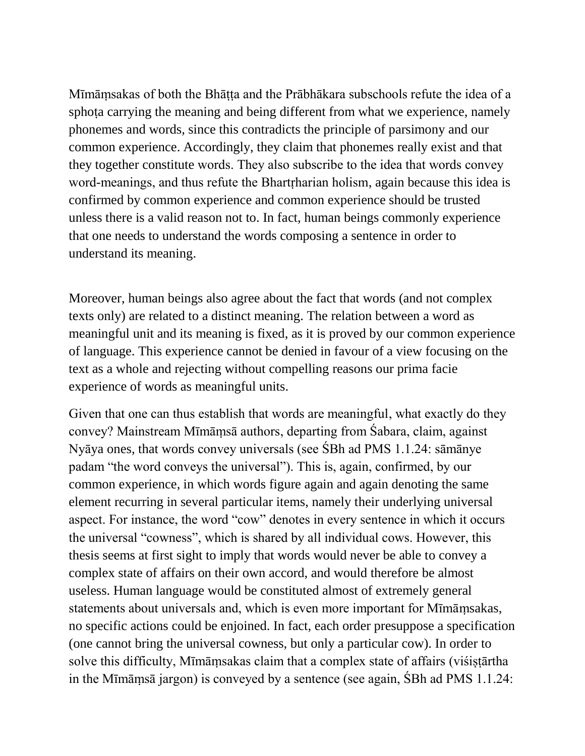Mīmāṃsakas of both the Bhāṭṭa and the Prābhākara subschools refute the idea of a sphota carrying the meaning and being different from what we experience, namely phonemes and words, since this contradicts the principle of parsimony and our common experience. Accordingly, they claim that phonemes really exist and that they together constitute words. They also subscribe to the idea that words convey word-meanings, and thus refute the Bhart rharian holism, again because this idea is confirmed by common experience and common experience should be trusted unless there is a valid reason not to. In fact, human beings commonly experience that one needs to understand the words composing a sentence in order to understand its meaning.

Moreover, human beings also agree about the fact that words (and not complex texts only) are related to a distinct meaning. The relation between a word as meaningful unit and its meaning is fixed, as it is proved by our common experience of language. This experience cannot be denied in favour of a view focusing on the text as a whole and rejecting without compelling reasons our prima facie experience of words as meaningful units.

Given that one can thus establish that words are meaningful, what exactly do they convey? Mainstream Mīmāmsā authors, departing from Sabara, claim, against Nyāya ones, that words convey universals (see SBh ad PMS 1.1.24: sāmānye padam "the word conveys the universal"). This is, again, confirmed, by our common experience, in which words figure again and again denoting the same element recurring in several particular items, namely their underlying universal aspect. For instance, the word "cow" denotes in every sentence in which it occurs the universal "cowness", which is shared by all individual cows. However, this thesis seems at first sight to imply that words would never be able to convey a complex state of affairs on their own accord, and would therefore be almost useless. Human language would be constituted almost of extremely general statements about universals and, which is even more important for Mīmāṃsakas, no specific actions could be enjoined. In fact, each order presuppose a specification (one cannot bring the universal cowness, but only a particular cow). In order to solve this difficulty, Mīmāmsakas claim that a complex state of affairs (visistartha in the Mīmāmsā jargon) is conveyed by a sentence (see again, SBh ad PMS  $1.1.24$ :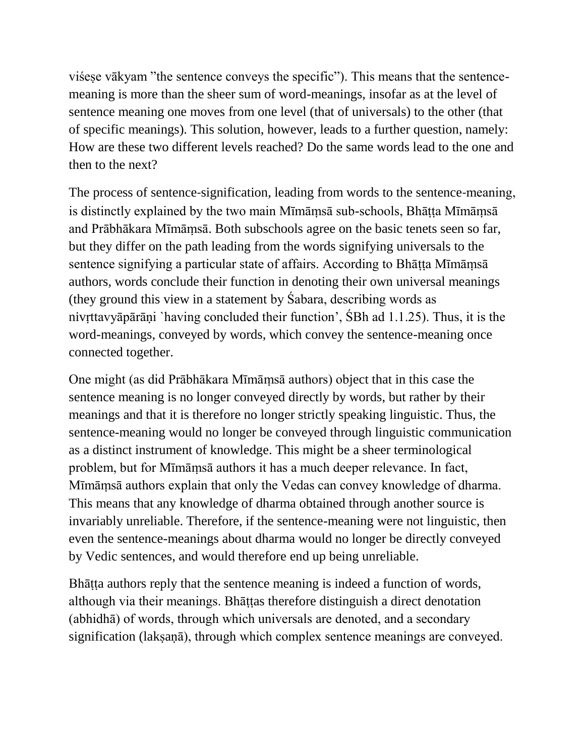visese vākyam "the sentence conveys the specific"). This means that the sentencemeaning is more than the sheer sum of word-meanings, insofar as at the level of sentence meaning one moves from one level (that of universals) to the other (that of specific meanings). This solution, however, leads to a further question, namely: How are these two different levels reached? Do the same words lead to the one and then to the next?

The process of sentence-signification, leading from words to the sentence-meaning, is distinctly explained by the two main Mīmāmsā sub-schools, Bhāṭṭa Mīmāmsā and Prābhākara Mīmāṃsā. Both subschools agree on the basic tenets seen so far, but they differ on the path leading from the words signifying universals to the sentence signifying a particular state of affairs. According to Bhātta Mīmāmsā authors, words conclude their function in denoting their own universal meanings (they ground this view in a statement by Sabara, describing words as niv tta vyā pārāņi `having concluded their function', SBh ad  $1.1.25$ ). Thus, it is the word-meanings, conveyed by words, which convey the sentence-meaning once connected together.

One might (as did Prābhākara Mīmāṃsā authors) object that in this case the sentence meaning is no longer conveyed directly by words, but rather by their meanings and that it is therefore no longer strictly speaking linguistic. Thus, the sentence-meaning would no longer be conveyed through linguistic communication as a distinct instrument of knowledge. This might be a sheer terminological problem, but for Mīmāmsā authors it has a much deeper relevance. In fact, Mīmāmsā authors explain that only the Vedas can convey knowledge of dharma. This means that any knowledge of dharma obtained through another source is invariably unreliable. Therefore, if the sentence-meaning were not linguistic, then even the sentence-meanings about dharma would no longer be directly conveyed by Vedic sentences, and would therefore end up being unreliable.

Bhāṭṭa authors reply that the sentence meaning is indeed a function of words, although via their meanings. Bhāṭṭas therefore distinguish a direct denotation (abhidha) of words, through which universals are denoted, and a secondary signification (lak saṇā), through which complex sentence meanings are conveyed.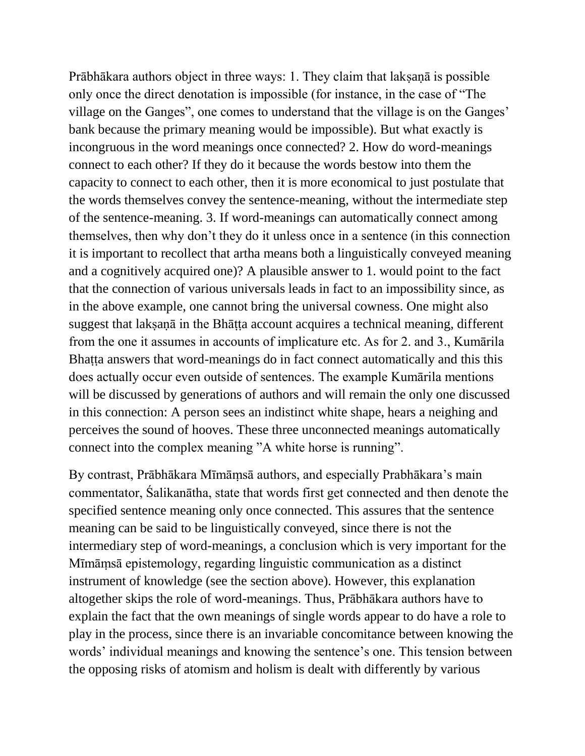Prābhākara authors object in three ways: 1. They claim that lak saṇā is possible only once the direct denotation is impossible (for instance, in the case of "The village on the Ganges", one comes to understand that the village is on the Ganges' bank because the primary meaning would be impossible). But what exactly is incongruous in the word meanings once connected? 2. How do word-meanings connect to each other? If they do it because the words bestow into them the capacity to connect to each other, then it is more economical to just postulate that the words themselves convey the sentence-meaning, without the intermediate step of the sentence-meaning. 3. If word-meanings can automatically connect among themselves, then why don't they do it unless once in a sentence (in this connection it is important to recollect that artha means both a linguistically conveyed meaning and a cognitively acquired one)? A plausible answer to 1. would point to the fact that the connection of various universals leads in fact to an impossibility since, as in the above example, one cannot bring the universal cowness. One might also suggest that laksaṇā in the Bhāṭṭa account acquires a technical meaning, different from the one it assumes in accounts of implicature etc. As for 2. and 3., Kumārila Bhaṭṭa answers that word-meanings do in fact connect automatically and this this does actually occur even outside of sentences. The example Kumārila mentions will be discussed by generations of authors and will remain the only one discussed in this connection: A person sees an indistinct white shape, hears a neighing and perceives the sound of hooves. These three unconnected meanings automatically connect into the complex meaning "A white horse is running".

By contrast, Prābhākara Mīmāmsā authors, and especially Prabhākara's main commentator, Salikanātha, state that words first get connected and then denote the specified sentence meaning only once connected. This assures that the sentence meaning can be said to be linguistically conveyed, since there is not the intermediary step of word-meanings, a conclusion which is very important for the Mīmāṃsā epistemology, regarding linguistic communication as a distinct instrument of knowledge (see the section above). However, this explanation altogether skips the role of word-meanings. Thus, Prābhākara authors have to explain the fact that the own meanings of single words appear to do have a role to play in the process, since there is an invariable concomitance between knowing the words' individual meanings and knowing the sentence's one. This tension between the opposing risks of atomism and holism is dealt with differently by various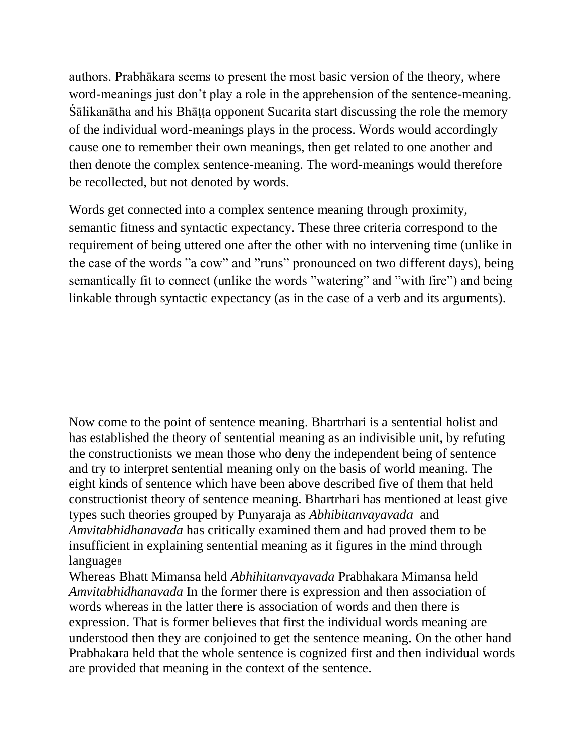authors. Prabhākara seems to present the most basic version of the theory, where word-meanings just don't play a role in the apprehension of the sentence-meaning. ālikanātha and his Bhāṭṭa opponent Sucarita start discussing the role the memory of the individual word-meanings plays in the process. Words would accordingly cause one to remember their own meanings, then get related to one another and then denote the complex sentence-meaning. The word-meanings would therefore be recollected, but not denoted by words.

Words get connected into a complex sentence meaning through proximity, semantic fitness and syntactic expectancy. These three criteria correspond to the requirement of being uttered one after the other with no intervening time (unlike in the case of the words "a cow" and "runs" pronounced on two different days), being semantically fit to connect (unlike the words "watering" and " with fire") and being linkable through syntactic expectancy (as in the case of a verb and its arguments).

Now come to the point of sentence meaning. Bhartrhari is a sentential holist and has established the theory of sentential meaning as an indivisible unit, by refuting the constructionists we mean those who deny the independent being of sentence and try to interpret sentential meaning only on the basis of world meaning. The eight kinds of sentence which have been above described five of them that held constructionist theory of sentence meaning. Bhartrhari has mentioned at least give types such theories grouped by Punyaraja as *Abhibitanvayavada* and *Amvitabhidhanavada* has critically examined them and had proved them to be insufficient in explaining sentential meaning as it figures in the mind through language<sub>8</sub>

Whereas Bhatt Mimansa held *Abhihitanvayavada* Prabhakara Mimansa held *Amvitabhidhanavada* In the former there is expression and then association of words whereas in the latter there is association of words and then there is expression. That is former believes that first the individual words meaning are understood then they are conjoined to get the sentence meaning. On the other hand Prabhakara held that the whole sentence is cognized first and then individual words are provided that meaning in the context of the sentence.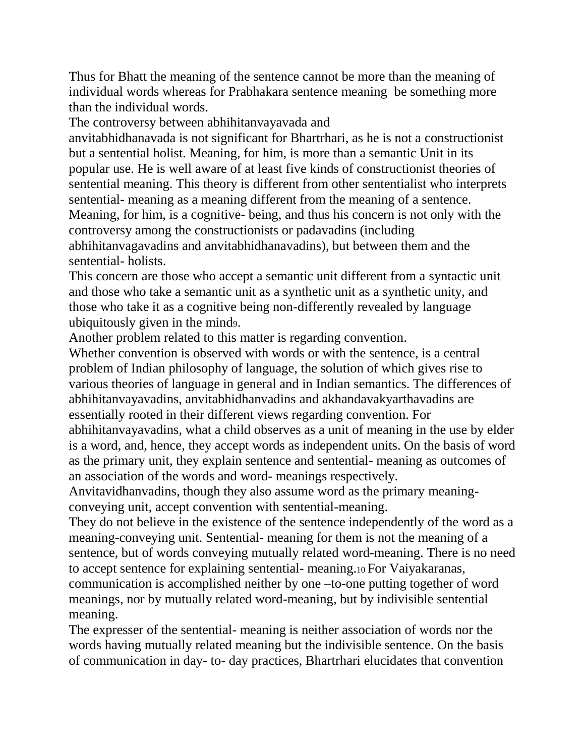Thus for Bhatt the meaning of the sentence cannot be more than the meaning of individual words whereas for Prabhakara sentence meaning be something more than the individual words.

The controversy between abhihitanvayavada and

anvitabhidhanavada is not significant for Bhartrhari, as he is not a constructionist but a sentential holist. Meaning, for him, is more than a semantic Unit in its popular use. He is well aware of at least five kinds of constructionist theories of sentential meaning. This theory is different from other sententialist who interprets sentential- meaning as a meaning different from the meaning of a sentence. Meaning, for him, is a cognitive- being, and thus his concern is not only with the controversy among the constructionists or padavadins (including abhihitanvagavadins and anvitabhidhanavadins), but between them and the sentential- holists.

This concern are those who accept a semantic unit different from a syntactic unit and those who take a semantic unit as a synthetic unit as a synthetic unity, and those who take it as a cognitive being non-differently revealed by language ubiquitously given in the mind9.

Another problem related to this matter is regarding convention.

Whether convention is observed with words or with the sentence, is a central problem of Indian philosophy of language, the solution of which gives rise to various theories of language in general and in Indian semantics. The differences of abhihitanvayavadins, anvitabhidhanvadins and akhandavakyarthavadins are essentially rooted in their different views regarding convention. For abhihitanvayavadins, what a child observes as a unit of meaning in the use by elder is a word, and, hence, they accept words as independent units. On the basis of word as the primary unit, they explain sentence and sentential- meaning as outcomes of an association of the words and word- meanings respectively.

Anvitavidhanvadins, though they also assume word as the primary meaningconveying unit, accept convention with sentential-meaning.

They do not believe in the existence of the sentence independently of the word as a meaning-conveying unit. Sentential- meaning for them is not the meaning of a sentence, but of words conveying mutually related word-meaning. There is no need to accept sentence for explaining sentential- meaning.10 For Vaiyakaranas, communication is accomplished neither by one –to-one putting together of word meanings, nor by mutually related word-meaning, but by indivisible sentential meaning.

The expresser of the sentential- meaning is neither association of words nor the words having mutually related meaning but the indivisible sentence. On the basis of communication in day- to- day practices, Bhartrhari elucidates that convention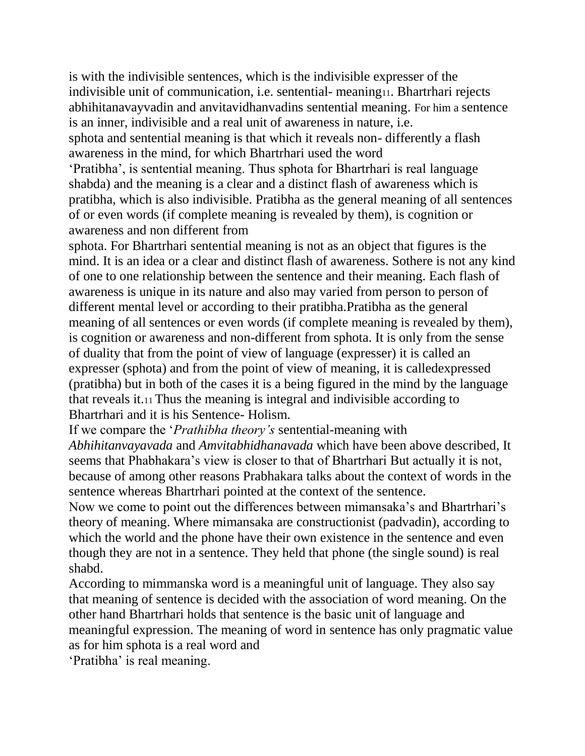is with the indivisible sentences, which is the indivisible expresser of the indivisible unit of communication, i.e. sentential- meaning11. Bhartrhari rejects abhihitanavayvadin and anvitavidhanvadins sentential meaning. For him a sentence is an inner, indivisible and a real unit of awareness in nature, i.e. sphota and sentential meaning is that which it reveals non- differently a flash

awareness in the mind, for which Bhartrhari used the word

'Pratibha', is sentential meaning. Thus sphota for Bhartrhari is real language shabda) and the meaning is a clear and a distinct flash of awareness which is pratibha, which is also indivisible. Pratibha as the general meaning of all sentences of or even words (if complete meaning is revealed by them), is cognition or awareness and non different from

sphota. For Bhartrhari sentential meaning is not as an object that figures is the mind. It is an idea or a clear and distinct flash of awareness. Sothere is not any kind of one to one relationship between the sentence and their meaning. Each flash of awareness is unique in its nature and also may varied from person to person of different mental level or according to their pratibha.Pratibha as the general meaning of all sentences or even words (if complete meaning is revealed by them), is cognition or awareness and non-different from sphota. It is only from the sense of duality that from the point of view of language (expresser) it is called an expresser (sphota) and from the point of view of meaning, it is calledexpressed (pratibha) but in both of the cases it is a being figured in the mind by the language that reveals it.11 Thus the meaning is integral and indivisible according to Bhartrhari and it is his Sentence- Holism.

If we compare the *'Prathibha theory's* sentential-meaning with

*Abhihitanvayavada* and *Amvitabhidhanavada* which have been above described, It seems that Phabhakara's view is closer to that of Bhartrhari But actually it is not, because of among other reasons Prabhakara talks about the context of words in the sentence whereas Bhartrhari pointed at the context of the sentence.

Now we come to point out the differences between mimansaka's and Bhartrhari's theory of meaning. Where mimansaka are constructionist (padvadin), according to which the world and the phone have their own existence in the sentence and even though they are not in a sentence. They held that phone (the single sound) is real shabd.

According to mimmanska word is a meaningful unit of language. They also say that meaning of sentence is decided with the association of word meaning. On the other hand Bhartrhari holds that sentence is the basic unit of language and meaningful expression. The meaning of word in sentence has only pragmatic value as for him sphota is a real word and

'Pratibha' is real meanin